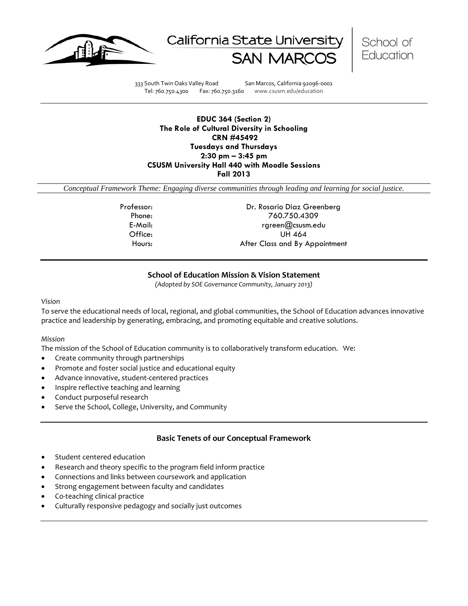





333 South Twin Oaks Valley Road San Marcos, California 92096-0001 Tel: 760.750.4300 Fax: 760.750.3160 www.csusm.edu/education

## **EDUC 364 (Section 2) The Role of Cultural Diversity in Schooling CRN #45492 Tuesdays and Thursdays 2:30 pm – 3:45 pm CSUSM University Hall 440 with Moodle Sessions Fall 2013**

*Conceptual Framework Theme: Engaging diverse communities through leading and learning for social justice.*

Professor: Dr. Rosario Diaz Greenberg Phone: 760.750.4309 E-Mail: rgreen@csusm.edu Office: UH 464 Hours: After Class and By Appointment

## **School of Education Mission & Vision Statement**

*(Adopted by SOE Governance Community, January 2013)*

#### <span id="page-0-0"></span>*Vision*

To serve the educational needs of local, regional, and global communities, the School of Education advances innovative practice and leadership by generating, embracing, and promoting equitable and creative solutions.

#### *Mission*

The mission of the School of Education community is to collaboratively transform education. We:

- Create community through partnerships
- Promote and foster social justice and educational equity
- Advance innovative, student-centered practices
- Inspire reflective teaching and learning
- Conduct purposeful research
- Serve the School, College, University, and Community

## **Basic Tenets of our Conceptual Framework**

- <span id="page-0-1"></span>Student centered education
- Research and theory specific to the program field inform practice
- Connections and links between coursework and application
- Strong engagement between faculty and candidates
- Co-teaching clinical practice
- Culturally responsive pedagogy and socially just outcomes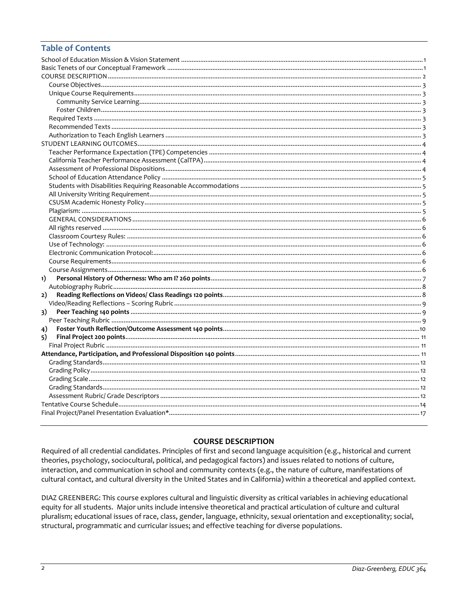## **Table of Contents**

| 1) |  |
|----|--|
|    |  |
| 2) |  |
|    |  |
| 3) |  |
|    |  |
| 4) |  |
| 5) |  |
|    |  |
|    |  |
|    |  |
|    |  |
|    |  |
|    |  |
|    |  |
|    |  |
|    |  |
|    |  |

## **COURSE DESCRIPTION**

<span id="page-1-0"></span>Required of all credential candidates. Principles of first and second language acquisition (e.g., historical and current theories, psychology, sociocultural, political, and pedagogical factors) and issues related to notions of culture, interaction, and communication in school and community contexts (e.g., the nature of culture, manifestations of cultural contact, and cultural diversity in the United States and in California) within a theoretical and applied context.

<span id="page-1-1"></span>DIAZ GREENBERG: This course explores cultural and linguistic diversity as critical variables in achieving educational equity for all students. Major units include intensive theoretical and practical articulation of culture and cultural pluralism; educational issues of race, class, gender, language, ethnicity, sexual orientation and exceptionality; social, structural, programmatic and curricular issues; and effective teaching for diverse populations.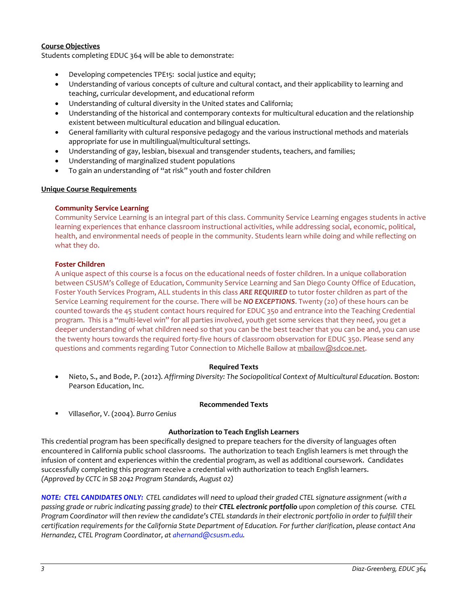## **Course Objectives**

Students completing EDUC 364 will be able to demonstrate:

- Developing competencies TPE15: social justice and equity;
- Understanding of various concepts of culture and cultural contact, and their applicability to learning and teaching, curricular development, and educational reform
- Understanding of cultural diversity in the United states and California;
- Understanding of the historical and contemporary contexts for multicultural education and the relationship existent between multicultural education and bilingual education.
- General familiarity with cultural responsive pedagogy and the various instructional methods and materials appropriate for use in multilingual/multicultural settings.
- Understanding of gay, lesbian, bisexual and transgender students, teachers, and families;
- Understanding of marginalized student populations
- To gain an understanding of "at risk" youth and foster children

## <span id="page-2-0"></span>**Unique Course Requirements**

#### <span id="page-2-1"></span>**Community Service Learning**

Community Service Learning is an integral part of this class. Community Service Learning engages students in active learning experiences that enhance classroom instructional activities, while addressing social, economic, political, health, and environmental needs of people in the community. Students learn while doing and while reflecting on what they do.

#### <span id="page-2-2"></span>**Foster Children**

A unique aspect of this course is a focus on the educational needs of foster children. In a unique collaboration between CSUSM's College of Education, Community Service Learning and San Diego County Office of Education, Foster Youth Services Program, ALL students in this class *ARE REQUIRED* to tutor foster children as part of the Service Learning requirement for the course. There will be *NO EXCEPTIONS*. Twenty (20) of these hours can be counted towards the 45 student contact hours required for EDUC 350 and entrance into the Teaching Credential program. This is a "multi-level win" for all parties involved, youth get some services that they need, you get a deeper understanding of what children need so that you can be the best teacher that you can be and, you can use the twenty hours towards the required forty-five hours of classroom observation for EDUC 350. Please send any questions and comments regarding Tutor Connection to Michelle Bailow a[t mbailow@sdcoe.net.](mailto:mbailow@sdcoe.net)

#### **Required Texts**

<span id="page-2-3"></span>• Nieto, S., and Bode, P. (2012). *Affirming Diversity: The Sociopolitical Context of Multicultural Education*. Boston: Pearson Education, Inc.

### **Recommended Texts**

<span id="page-2-4"></span>Villaseñor, V. (2004). *Burro Genius*

#### **Authorization to Teach English Learners**

<span id="page-2-5"></span>This credential program has been specifically designed to prepare teachers for the diversity of languages often encountered in California public school classrooms. The authorization to teach English learners is met through the infusion of content and experiences within the credential program, as well as additional coursework. Candidates successfully completing this program receive a credential with authorization to teach English learners. *(Approved by CCTC in SB 2042 Program Standards, August 02)*

*NOTE: CTEL CANDIDATES ONLY: CTEL candidates will need to upload their graded CTEL signature assignment (with a passing grade or rubric indicating passing grade) to their CTEL electronic portfolio upon completion of this course. CTEL Program Coordinator will then review the candidate's CTEL standards in their electronic portfolio in order to fulfill their certification requirements for the California State Department of Education. For further clarification*, *please contact Ana Hernandez, CTEL Program Coordinator, a[t ahernand@csusm.edu.](mailto:ahernand@csusm.edu)*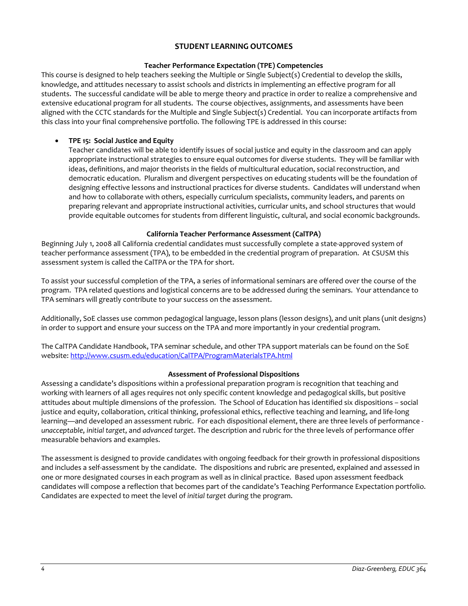## **STUDENT LEARNING OUTCOMES**

## **Teacher Performance Expectation (TPE) Competencies**

<span id="page-3-1"></span><span id="page-3-0"></span>This course is designed to help teachers seeking the Multiple or Single Subject(s) Credential to develop the skills, knowledge, and attitudes necessary to assist schools and districts in implementing an effective program for all students. The successful candidate will be able to merge theory and practice in order to realize a comprehensive and extensive educational program for all students. The course objectives, assignments, and assessments have been aligned with the CCTC standards for the Multiple and Single Subject(s) Credential. You can incorporate artifacts from this class into your final comprehensive portfolio. The following TPE is addressed in this course:

## • **TPE 15: Social Justice and Equity**

Teacher candidates will be able to identify issues of social justice and equity in the classroom and can apply appropriate instructional strategies to ensure equal outcomes for diverse students. They will be familiar with ideas, definitions, and major theorists in the fields of multicultural education, social reconstruction, and democratic education. Pluralism and divergent perspectives on educating students will be the foundation of designing effective lessons and instructional practices for diverse students. Candidates will understand when and how to collaborate with others, especially curriculum specialists, community leaders, and parents on preparing relevant and appropriate instructional activities, curricular units, and school structures that would provide equitable outcomes for students from different linguistic, cultural, and social economic backgrounds.

## **California Teacher Performance Assessment (CalTPA)**

<span id="page-3-2"></span>Beginning July 1, 2008 all California credential candidates must successfully complete a state-approved system of teacher performance assessment (TPA), to be embedded in the credential program of preparation. At CSUSM this assessment system is called the CalTPA or the TPA for short.

To assist your successful completion of the TPA, a series of informational seminars are offered over the course of the program. TPA related questions and logistical concerns are to be addressed during the seminars. Your attendance to TPA seminars will greatly contribute to your success on the assessment.

Additionally, SoE classes use common pedagogical language, lesson plans (lesson designs), and unit plans (unit designs) in order to support and ensure your success on the TPA and more importantly in your credential program.

The CalTPA Candidate Handbook, TPA seminar schedule, and other TPA support materials can be found on the SoE website: <http://www.csusm.edu/education/CalTPA/ProgramMaterialsTPA.html>

## **Assessment of Professional Dispositions**

<span id="page-3-3"></span>Assessing a candidate's dispositions within a professional preparation program is recognition that teaching and working with learners of all ages requires not only specific content knowledge and pedagogical skills, but positive attitudes about multiple dimensions of the profession. The School of Education has identified six dispositions – social justice and equity, collaboration, critical thinking, professional ethics, reflective teaching and learning, and life-long learning—and developed an assessment rubric. For each dispositional element, there are three levels of performance *unacceptable*, *initial target*, and *advanced target*. The description and rubric for the three levels of performance offer measurable behaviors and examples.

<span id="page-3-4"></span>The assessment is designed to provide candidates with ongoing feedback for their growth in professional dispositions and includes a self-assessment by the candidate. The dispositions and rubric are presented, explained and assessed in one or more designated courses in each program as well as in clinical practice. Based upon assessment feedback candidates will compose a reflection that becomes part of the candidate's Teaching Performance Expectation portfolio. Candidates are expected to meet the level of *initial target* during the program.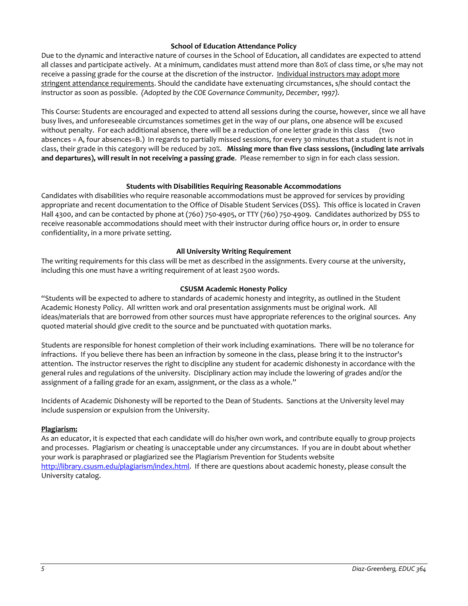## **School of Education Attendance Policy**

Due to the dynamic and interactive nature of courses in the School of Education, all candidates are expected to attend all classes and participate actively. At a minimum, candidates must attend more than 80% of class time, or s/he may not receive a passing grade for the course at the discretion of the instructor. Individual instructors may adopt more stringent attendance requirements. Should the candidate have extenuating circumstances, s/he should contact the instructor as soon as possible. *(Adopted by the COE Governance Community, December, 1997).*

This Course: Students are encouraged and expected to attend all sessions during the course, however, since we all have busy lives, and unforeseeable circumstances sometimes get in the way of our plans, one absence will be excused without penalty. For each additional absence, there will be a reduction of one letter grade in this class (two absences = A, four absences=B.) In regards to partially missed sessions, for every 30 minutes that a student is not in class, their grade in this category will be reduced by 20%. **Missing more than five class sessions, (including late arrivals and departures), will result in not receiving a passing grade**. Please remember to sign in for each class session.

## **Students with Disabilities Requiring Reasonable Accommodations**

<span id="page-4-0"></span>Candidates with disabilities who require reasonable accommodations must be approved for services by providing appropriate and recent documentation to the Office of Disable Student Services (DSS). This office is located in Craven Hall 4300, and can be contacted by phone at (760) 750-4905, or TTY (760) 750-4909. Candidates authorized by DSS to receive reasonable accommodations should meet with their instructor during office hours or, in order to ensure confidentiality, in a more private setting.

## **All University Writing Requirement**

<span id="page-4-1"></span>The writing requirements for this class will be met as described in the assignments. Every course at the university, including this one must have a writing requirement of at least 2500 words.

## **CSUSM Academic Honesty Policy**

<span id="page-4-2"></span>"Students will be expected to adhere to standards of academic honesty and integrity, as outlined in the Student Academic Honesty Policy. All written work and oral presentation assignments must be original work. All ideas/materials that are borrowed from other sources must have appropriate references to the original sources. Any quoted material should give credit to the source and be punctuated with quotation marks.

Students are responsible for honest completion of their work including examinations. There will be no tolerance for infractions. If you believe there has been an infraction by someone in the class, please bring it to the instructor's attention. The instructor reserves the right to discipline any student for academic dishonesty in accordance with the general rules and regulations of the university. Disciplinary action may include the lowering of grades and/or the assignment of a failing grade for an exam, assignment, or the class as a whole."

Incidents of Academic Dishonesty will be reported to the Dean of Students. Sanctions at the University level may include suspension or expulsion from the University.

## <span id="page-4-3"></span>**Plagiarism:**

<span id="page-4-4"></span>As an educator, it is expected that each candidate will do his/her own work, and contribute equally to group projects and processes. Plagiarism or cheating is unacceptable under any circumstances. If you are in doubt about whether your work is paraphrased or plagiarized see the Plagiarism Prevention for Students website [http://library.csusm.edu/plagiarism/index.html.](http://library.csusm.edu/plagiarism/index.html) If there are questions about academic honesty, please consult the University catalog.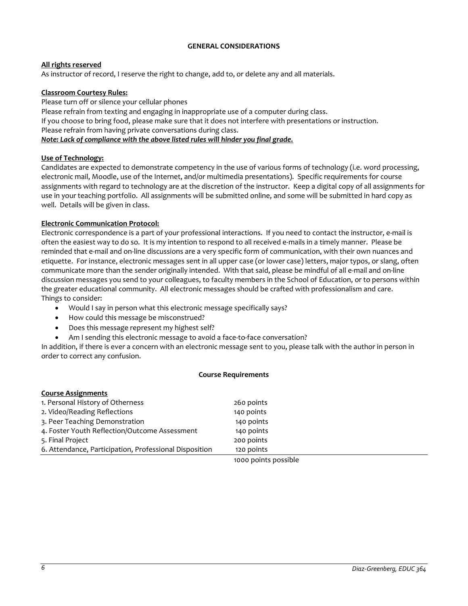## **GENERAL CONSIDERATIONS**

## <span id="page-5-0"></span>**All rights reserved**

As instructor of record, I reserve the right to change, add to, or delete any and all materials.

## <span id="page-5-1"></span>**Classroom Courtesy Rules:**

Please turn off or silence your cellular phones

Please refrain from texting and engaging in inappropriate use of a computer during class.

If you choose to bring food, please make sure that it does not interfere with presentations or instruction.

Please refrain from having private conversations during class.

## *Note: Lack of compliance with the above listed rules will hinder you final grade.*

## <span id="page-5-2"></span>**Use of Technology:**

Candidates are expected to demonstrate competency in the use of various forms of technology (i.e. word processing, electronic mail, Moodle, use of the Internet, and/or multimedia presentations). Specific requirements for course assignments with regard to technology are at the discretion of the instructor. Keep a digital copy of all assignments for use in your teaching portfolio. All assignments will be submitted online, and some will be submitted in hard copy as well. Details will be given in class.

## <span id="page-5-3"></span>**Electronic Communication Protocol:**

Electronic correspondence is a part of your professional interactions. If you need to contact the instructor, e-mail is often the easiest way to do so. It is my intention to respond to all received e-mails in a timely manner. Please be reminded that e-mail and on-line discussions are a very specific form of communication, with their own nuances and etiquette. For instance, electronic messages sent in all upper case (or lower case) letters, major typos, or slang, often communicate more than the sender originally intended. With that said, please be mindful of all e-mail and on-line discussion messages you send to your colleagues, to faculty members in the School of Education, or to persons within the greater educational community. All electronic messages should be crafted with professionalism and care. Things to consider:

- Would I say in person what this electronic message specifically says?
- How could this message be misconstrued?
- Does this message represent my highest self?
- Am I sending this electronic message to avoid a face-to-face conversation?

In addition, if there is ever a concern with an electronic message sent to you, please talk with the author in person in order to correct any confusion.

#### **Course Requirements**

<span id="page-5-5"></span><span id="page-5-4"></span>

| <b>Course Assignments</b>                              |                      |
|--------------------------------------------------------|----------------------|
| 1. Personal History of Otherness                       | 260 points           |
| 2. Video/Reading Reflections                           | 140 points           |
| 3. Peer Teaching Demonstration                         | 140 points           |
| 4. Foster Youth Reflection/Outcome Assessment          | 140 points           |
| 5. Final Project                                       | 200 points           |
| 6. Attendance, Participation, Professional Disposition | 120 points           |
|                                                        | 1000 points possible |

1000 points possible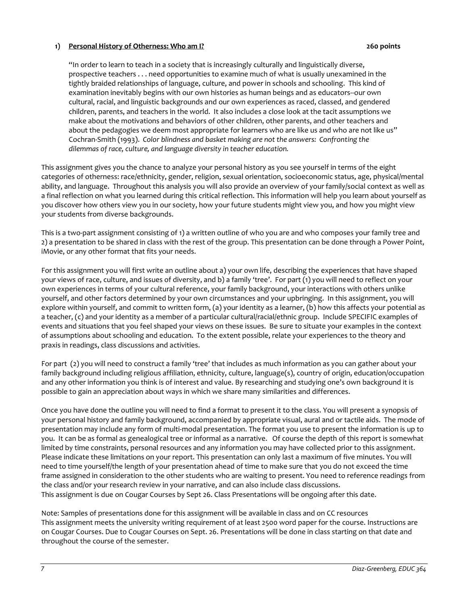## <span id="page-6-0"></span>**1) Personal History of Otherness: Who am I? 260 points**

"In order to learn to teach in a society that is increasingly culturally and linguistically diverse, prospective teachers . . . need opportunities to examine much of what is usually unexamined in the tightly braided relationships of language, culture, and power in schools and schooling. This kind of examination inevitably begins with our own histories as human beings and as educators--our own cultural, racial, and linguistic backgrounds and our own experiences as raced, classed, and gendered children, parents, and teachers in the world. It also includes a close look at the tacit assumptions we make about the motivations and behaviors of other children, other parents, and other teachers and about the pedagogies we deem most appropriate for learners who are like us and who are not like us" Cochran-Smith (1993). *Color blindness and basket making are not the answers: Confronting the dilemmas of race, culture, and language diversity in teacher education.* 

This assignment gives you the chance to analyze your personal history as you see yourself in terms of the eight categories of otherness: race/ethnicity, gender, religion, sexual orientation, socioeconomic status, age, physical/mental ability, and language. Throughout this analysis you will also provide an overview of your family/social context as well as a final reflection on what you learned during this critical reflection. This information will help you learn about yourself as you discover how others view you in our society, how your future students might view you, and how you might view your students from diverse backgrounds.

This is a two-part assignment consisting of 1) a written outline of who you are and who composes your family tree and 2) a presentation to be shared in class with the rest of the group. This presentation can be done through a Power Point, iMovie, or any other format that fits your needs.

For this assignment you will first write an outline about a) your own life, describing the experiences that have shaped your views of race, culture, and issues of diversity, and b) a family 'tree'. For part (1) you will need to reflect on your own experiences in terms of your cultural reference, your family background, your interactions with others unlike yourself, and other factors determined by your own circumstances and your upbringing. In this assignment, you will explore within yourself, and commit to written form, (a) your identity as a learner, (b) how this affects your potential as a teacher, (c) and your identity as a member of a particular cultural/racial/ethnic group. Include SPECIFIC examples of events and situations that you feel shaped your views on these issues. Be sure to situate your examples in the context of assumptions about schooling and education. To the extent possible, relate your experiences to the theory and praxis in readings, class discussions and activities.

For part (2) you will need to construct a family 'tree' that includes as much information as you can gather about your family background including religious affiliation, ethnicity, culture, language(s), country of origin, education/occupation and any other information you think is of interest and value. By researching and studying one's own background it is possible to gain an appreciation about ways in which we share many similarities and differences.

Once you have done the outline you will need to find a format to present it to the class. You will present a synopsis of your personal history and family background, accompanied by appropriate visual, aural and or tactile aids. The mode of presentation may include any form of multi-modal presentation. The format you use to present the information is up to you. It can be as formal as genealogical tree or informal as a narrative. Of course the depth of this report is somewhat limited by time constraints, personal resources and any information you may have collected prior to this assignment. Please indicate these limitations on your report. This presentation can only last a maximum of five minutes. You will need to time yourself/the length of your presentation ahead of time to make sure that you do not exceed the time frame assigned in consideration to the other students who are waiting to present. You need to reference readings from the class and/or your research review in your narrative, and can also include class discussions. This assignment is due on Cougar Courses by Sept 26. Class Presentations will be ongoing after this date.

Note: Samples of presentations done for this assignment will be available in class and on CC resources This assignment meets the university writing requirement of at least 2500 word paper for the course. Instructions are on Cougar Courses. Due to Cougar Courses on Sept. 26. Presentations will be done in class starting on that date and throughout the course of the semester.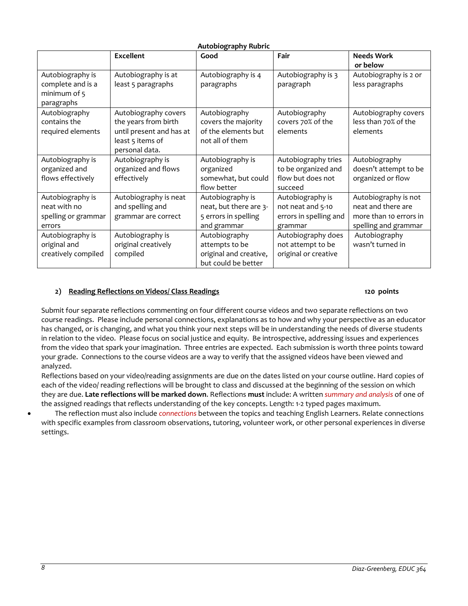<span id="page-7-0"></span>

|                                                                     | <b>Excellent</b>                                                                                               | Good                                                                              | Fair                                                                       | <b>Needs Work</b><br>or below                                                                |
|---------------------------------------------------------------------|----------------------------------------------------------------------------------------------------------------|-----------------------------------------------------------------------------------|----------------------------------------------------------------------------|----------------------------------------------------------------------------------------------|
| Autobiography is<br>complete and is a<br>minimum of 5<br>paragraphs | Autobiography is at<br>least 5 paragraphs                                                                      | Autobiography is 4<br>paragraphs                                                  | Autobiography is 3<br>paragraph                                            | Autobiography is 2 or<br>less paragraphs                                                     |
| Autobiography<br>contains the<br>required elements                  | Autobiography covers<br>the years from birth<br>until present and has at<br>least 5 items of<br>personal data. | Autobiography<br>covers the majority<br>of the elements but<br>not all of them    | Autobiography<br>covers 70% of the<br>elements                             | Autobiography covers<br>less than 70% of the<br>elements                                     |
| Autobiography is<br>organized and<br>flows effectively              | Autobiography is<br>organized and flows<br>effectively                                                         | Autobiography is<br>organized<br>somewhat, but could<br>flow better               | Autobiography tries<br>to be organized and<br>flow but does not<br>succeed | Autobiography<br>doesn't attempt to be<br>organized or flow                                  |
| Autobiography is<br>neat with no<br>spelling or grammar<br>errors   | Autobiography is neat<br>and spelling and<br>grammar are correct                                               | Autobiography is<br>neat, but there are 3-<br>5 errors in spelling<br>and grammar | Autobiography is<br>not neat and 5-10<br>errors in spelling and<br>grammar | Autobiography is not<br>neat and there are<br>more than 10 errors in<br>spelling and grammar |
| Autobiography is<br>original and<br>creatively compiled             | Autobiography is<br>original creatively<br>compiled                                                            | Autobiography<br>attempts to be<br>original and creative,<br>but could be better  | Autobiography does<br>not attempt to be<br>original or creative            | Autobiography<br>wasn't turned in                                                            |

## <span id="page-7-1"></span>**2) Reading Reflections on Videos/ Class Readings 120 points**

Submit four separate reflections commenting on four different course videos and two separate reflections on two course readings. Please include personal connections, explanations as to how and why your perspective as an educator has changed, or is changing, and what you think your next steps will be in understanding the needs of diverse students in relation to the video. Please focus on social justice and equity. Be introspective, addressing issues and experiences from the video that spark your imagination. Three entries are expected. Each submission is worth three points toward your grade. Connections to the course videos are a way to verify that the assigned videos have been viewed and analyzed.

Reflections based on your video/reading assignments are due on the dates listed on your course outline. Hard copies of each of the video/ reading reflections will be brought to class and discussed at the beginning of the session on which they are due. **Late reflections will be marked down**. Reflections **must** include: A written *summary and analysis* of one of the assigned readings that reflects understanding of the key concepts. Length: 1-2 typed pages maximum.

• The reflection must also include *connections* between the topics and teaching English Learners. Relate connections with specific examples from classroom observations, tutoring, volunteer work, or other personal experiences in diverse settings.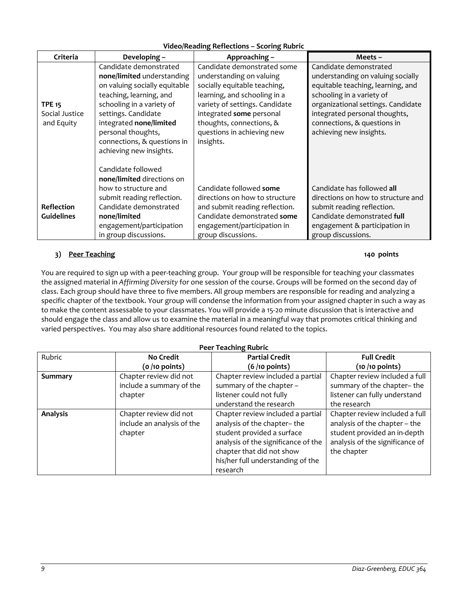| <b>Video/Reading Reflections - Scoring Rubric</b> |
|---------------------------------------------------|
|---------------------------------------------------|

<span id="page-8-0"></span>

| Criteria          | Developing -                  | Approaching -                  | Meets-                             |
|-------------------|-------------------------------|--------------------------------|------------------------------------|
|                   | Candidate demonstrated        | Candidate demonstrated some    | Candidate demonstrated             |
|                   | none/limited understanding    | understanding on valuing       | understanding on valuing socially  |
|                   | on valuing socially equitable | socially equitable teaching,   | equitable teaching, learning, and  |
|                   | teaching, learning, and       | learning, and schooling in a   | schooling in a variety of          |
| <b>TPE 15</b>     | schooling in a variety of     | variety of settings. Candidate | organizational settings. Candidate |
| Social Justice    | settings. Candidate           | integrated some personal       | integrated personal thoughts,      |
| and Equity        | integrated none/limited       | thoughts, connections, &       | connections, & questions in        |
|                   | personal thoughts,            | questions in achieving new     | achieving new insights.            |
|                   | connections, & questions in   | insights.                      |                                    |
|                   | achieving new insights.       |                                |                                    |
|                   |                               |                                |                                    |
|                   | Candidate followed            |                                |                                    |
|                   | none/limited directions on    |                                |                                    |
|                   | how to structure and          | Candidate followed some        | Candidate has followed all         |
|                   | submit reading reflection.    | directions on how to structure | directions on how to structure and |
| <b>Reflection</b> | Candidate demonstrated        | and submit reading reflection. | submit reading reflection.         |
| <b>Guidelines</b> | none/limited                  | Candidate demonstrated some    | Candidate demonstrated full        |
|                   | engagement/participation      | engagement/participation in    | engagement & participation in      |
|                   | in group discussions.         | group discussions.             | group discussions.                 |

# <span id="page-8-1"></span>**3) Peer Teaching 140 points**

You are required to sign up with a peer-teaching group. Your group will be responsible for teaching your classmates the assigned material in *Affirming Diversity* for one session of the course. Groups will be formed on the second day of class. Each group should have three to five members. All group members are responsible for reading and analyzing a specific chapter of the textbook. Your group will condense the information from your assigned chapter in such a way as to make the content assessable to your classmates. You will provide a 15-20 minute discussion that is interactive and should engage the class and allow us to examine the material in a meaningful way that promotes critical thinking and varied perspectives. You may also share additional resources found related to the topics.

<span id="page-8-2"></span>

| <b>Peer Teaching Rubric</b> |                                                                 |                                                                                                                                                                                                                     |                                                                                                                                                   |  |
|-----------------------------|-----------------------------------------------------------------|---------------------------------------------------------------------------------------------------------------------------------------------------------------------------------------------------------------------|---------------------------------------------------------------------------------------------------------------------------------------------------|--|
| Rubric                      | <b>No Credit</b>                                                | <b>Partial Credit</b>                                                                                                                                                                                               | <b>Full Credit</b>                                                                                                                                |  |
|                             | $(o / 10$ points)                                               | $(6/10$ points)                                                                                                                                                                                                     | $(10/10$ points)                                                                                                                                  |  |
| Summary                     | Chapter review did not                                          | Chapter review included a partial                                                                                                                                                                                   | Chapter review included a full                                                                                                                    |  |
|                             | include a summary of the                                        | summary of the chapter -                                                                                                                                                                                            | summary of the chapter-the                                                                                                                        |  |
|                             | chapter                                                         | listener could not fully                                                                                                                                                                                            | listener can fully understand                                                                                                                     |  |
|                             |                                                                 | understand the research                                                                                                                                                                                             | the research                                                                                                                                      |  |
| <b>Analysis</b>             | Chapter review did not<br>include an analysis of the<br>chapter | Chapter review included a partial<br>analysis of the chapter-the<br>student provided a surface<br>analysis of the significance of the<br>chapter that did not show<br>his/her full understanding of the<br>research | Chapter review included a full<br>analysis of the chapter - the<br>student provided an in-depth<br>analysis of the significance of<br>the chapter |  |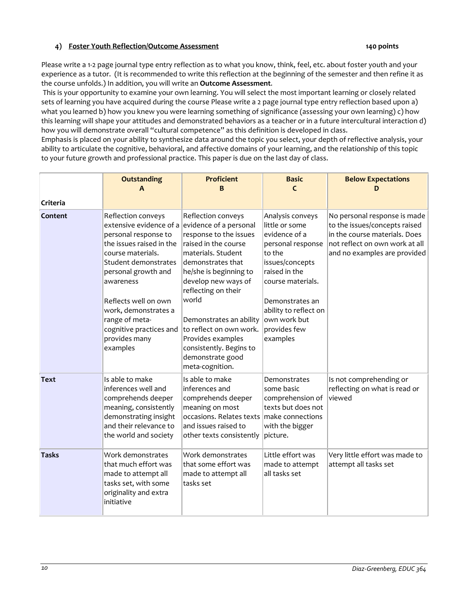# <span id="page-9-0"></span>**4) Foster Youth Reflection/Outcome Assessment 140 points**

Please write a 1-2 page journal type entry reflection as to what you know, think, feel, etc. about foster youth and your experience as a tutor. (It is recommended to write this reflection at the beginning of the semester and then refine it as the course unfolds.) In addition, you will write an **Outcome Assessment**.

This is your opportunity to examine your own learning. You will select the most important learning or closely related sets of learning you have acquired during the course Please write a 2 page journal type entry reflection based upon a) what you learned b) how you knew you were learning something of significance (assessing your own learning) c) how this learning will shape your attitudes and demonstrated behaviors as a teacher or in a future intercultural interaction d) how you will demonstrate overall "cultural competence" as this definition is developed in class.

Emphasis is placed on your ability to synthesize data around the topic you select, your depth of reflective analysis, your ability to articulate the cognitive, behavioral, and affective domains of your learning, and the relationship of this topic to your future growth and professional practice. This paper is due on the last day of class.

<span id="page-9-1"></span>

| Criteria     | <b>Outstanding</b><br>A                                                                                                                                                                                                                                                                                                             | <b>Proficient</b><br>B                                                                                                                                                                                                                                                                                                                        | <b>Basic</b><br>C                                                                                                                                                                                                                   | <b>Below Expectations</b><br>D                                                                                                                                   |
|--------------|-------------------------------------------------------------------------------------------------------------------------------------------------------------------------------------------------------------------------------------------------------------------------------------------------------------------------------------|-----------------------------------------------------------------------------------------------------------------------------------------------------------------------------------------------------------------------------------------------------------------------------------------------------------------------------------------------|-------------------------------------------------------------------------------------------------------------------------------------------------------------------------------------------------------------------------------------|------------------------------------------------------------------------------------------------------------------------------------------------------------------|
| Content      | Reflection conveys<br>extensive evidence of a evidence of a personal<br>personal response to<br>the issues raised in the<br>course materials.<br>Student demonstrates<br>personal growth and<br>awareness<br>Reflects well on own<br>work, demonstrates a<br>range of meta-<br>cognitive practices and<br>provides many<br>examples | Reflection conveys<br>response to the issues<br>raised in the course<br>materials. Student<br>demonstrates that<br>he/she is beginning to<br>develop new ways of<br>reflecting on their<br>world<br>Demonstrates an ability<br>to reflect on own work.<br>Provides examples<br>consistently. Begins to<br>demonstrate good<br>meta-cognition. | Analysis conveys<br>little or some<br>evidence of a<br>personal response<br>to the<br>issues/concepts<br>raised in the<br>course materials.<br>Demonstrates an<br>ability to reflect on<br>own work but<br>provides few<br>examples | No personal response is made<br>to the issues/concepts raised<br>in the course materials. Does<br>not reflect on own work at all<br>and no examples are provided |
| Text         | Is able to make<br>inferences well and<br>comprehends deeper<br>meaning, consistently<br>demonstrating insight<br>and their relevance to<br>the world and society                                                                                                                                                                   | Is able to make<br>inferences and<br>comprehends deeper<br>meaning on most<br>occasions. Relates texts<br>and issues raised to<br>other texts consistently                                                                                                                                                                                    | Demonstrates<br>some basic<br>comprehension of<br>texts but does not<br>make connections<br>with the bigger<br>picture.                                                                                                             | Is not comprehending or<br>reflecting on what is read or<br>viewed                                                                                               |
| <b>Tasks</b> | Work demonstrates<br>that much effort was<br>made to attempt all<br>tasks set, with some<br>originality and extra<br>initiative                                                                                                                                                                                                     | Work demonstrates<br>that some effort was<br>made to attempt all<br>tasks set                                                                                                                                                                                                                                                                 | Little effort was<br>made to attempt<br>all tasks set                                                                                                                                                                               | Very little effort was made to<br>attempt all tasks set                                                                                                          |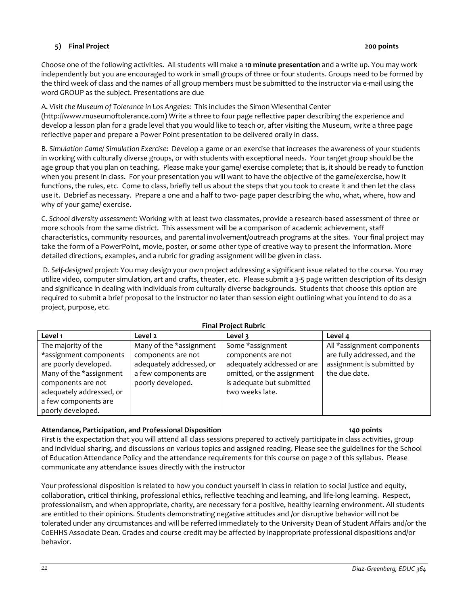# **5) Final Project 200 points**

Choose one of the following activities. All students will make a **10 minute presentation** and a write up. You may work independently but you are encouraged to work in small groups of three or four students. Groups need to be formed by the third week of class and the names of all group members must be submitted to the instructor via e-mail using the word GROUP as the subject. Presentations are due

A. *Visit the Museum of Tolerance in Los Angeles*: This includes the Simon Wiesenthal Center (http://www.museumoftolerance.com) Write a three to four page reflective paper describing the experience and develop a lesson plan for a grade level that you would like to teach or, after visiting the Museum, write a three page reflective paper and prepare a Power Point presentation to be delivered orally in class.

B. *Simulation Game/ Simulation Exercise*: Develop a game or an exercise that increases the awareness of your students in working with culturally diverse groups, or with students with exceptional needs. Your target group should be the age group that you plan on teaching. Please make your game/ exercise complete; that is, it should be ready to function when you present in class. For your presentation you will want to have the objective of the game/exercise, how it functions, the rules, etc. Come to class, briefly tell us about the steps that you took to create it and then let the class use it. Debrief as necessary. Prepare a one and a half to two- page paper describing the who, what, where, how and why of your game/ exercise.

C. *School diversity assessment*: Working with at least two classmates, provide a research-based assessment of three or more schools from the same district. This assessment will be a comparison of academic achievement, staff characteristics, community resources, and parental involvement/outreach programs at the sites. Your final project may take the form of a PowerPoint, movie, poster, or some other type of creative way to present the information. More detailed directions, examples, and a rubric for grading assignment will be given in class.

D. *Self-designed project*: You may design your own project addressing a significant issue related to the course. You may utilize video, computer simulation, art and crafts, theater, etc. Please submit a 3-5 page written description of its design and significance in dealing with individuals from culturally diverse backgrounds. Students that choose this option are required to submit a brief proposal to the instructor no later than session eight outlining what you intend to do as a project, purpose, etc.

<span id="page-10-0"></span>

| <b>FINAL FIVIELL NUDITL</b> |                          |                             |                              |  |  |
|-----------------------------|--------------------------|-----------------------------|------------------------------|--|--|
| Level 1                     | Level 2                  | Level 3                     | Level 4                      |  |  |
| The majority of the         | Many of the *assignment  | Some *assignment            | All *assignment components   |  |  |
| *assignment components      | components are not       | components are not          | are fully addressed, and the |  |  |
| are poorly developed.       | adequately addressed, or | adequately addressed or are | assignment is submitted by   |  |  |
| Many of the *assignment     | a few components are     | omitted, or the assignment  | the due date.                |  |  |
| components are not          | poorly developed.        | is adequate but submitted   |                              |  |  |
| adequately addressed, or    |                          | two weeks late.             |                              |  |  |
| a few components are        |                          |                             |                              |  |  |
| poorly developed.           |                          |                             |                              |  |  |

## **Final Project Rubric**

#### <span id="page-10-1"></span>**Attendance, Participation, and Professional Disposition 140 points**

First is the expectation that you will attend all class sessions prepared to actively participate in class activities, group and individual sharing, and discussions on various topics and assigned reading. Please see the guidelines for the School of Education Attendance Policy and the attendance requirements for this course on page 2 of this syllabus. Please communicate any attendance issues directly with the instructor

Your professional disposition is related to how you conduct yourself in class in relation to social justice and equity, collaboration, critical thinking, professional ethics, reflective teaching and learning, and life-long learning. Respect, professionalism, and when appropriate, charity, are necessary for a positive, healthy learning environment. All students are entitled to their opinions. Students demonstrating negative attitudes and /or disruptive behavior will not be tolerated under any circumstances and will be referred immediately to the University Dean of Student Affairs and/or the CoEHHS Associate Dean. Grades and course credit may be affected by inappropriate professional dispositions and/or behavior.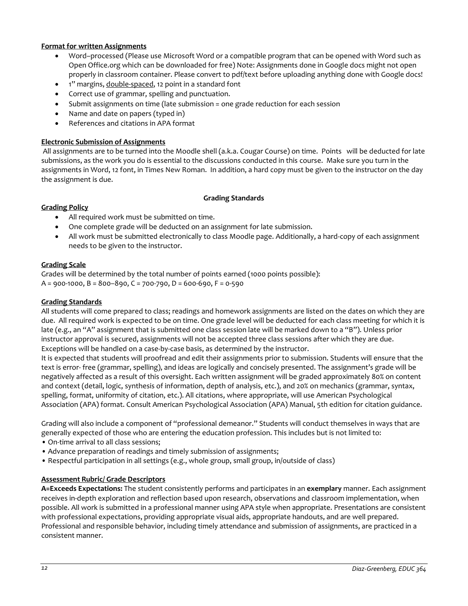## **Format for written Assignments**

- Word–processed (Please use Microsoft Word or a compatible program that can be opened with Word such as Open Office.org which can be downloaded for free) Note: Assignments done in Google docs might not open properly in classroom container. Please convert to pdf/text before uploading anything done with Google docs!
- 1" margins, double-spaced, 12 point in a standard font
- Correct use of grammar, spelling and punctuation.
- Submit assignments on time (late submission = one grade reduction for each session
- Name and date on papers (typed in)
- References and citations in APA format

## **Electronic Submission of Assignments**

All assignments are to be turned into the Moodle shell (a.k.a. Cougar Course) on time. Points will be deducted for late submissions, as the work you do is essential to the discussions conducted in this course. Make sure you turn in the assignments in Word, 12 font, in Times New Roman. In addition, a hard copy must be given to the instructor on the day the assignment is due.

#### **Grading Standards**

#### <span id="page-11-1"></span><span id="page-11-0"></span>**Grading Policy**

- All required work must be submitted on time.
- One complete grade will be deducted on an assignment for late submission.
- All work must be submitted electronically to class Moodle page. Additionally, a hard-copy of each assignment needs to be given to the instructor.

## <span id="page-11-2"></span>**Grading Scale**

Grades will be determined by the total number of points earned (1000 points possible):  $A = 900 - 1000$ ,  $B = 800 - 890$ ,  $C = 700 - 790$ ,  $D = 600 - 690$ ,  $F = 0 - 590$ 

## <span id="page-11-3"></span>**Grading Standards**

All students will come prepared to class; readings and homework assignments are listed on the dates on which they are due. All required work is expected to be on time. One grade level will be deducted for each class meeting for which it is late (e.g., an "A" assignment that is submitted one class session late will be marked down to a "B"). Unless prior instructor approval is secured, assignments will not be accepted three class sessions after which they are due. Exceptions will be handled on a case-by-case basis, as determined by the instructor.

It is expected that students will proofread and edit their assignments prior to submission. Students will ensure that the text is error- free (grammar, spelling), and ideas are logically and concisely presented. The assignment's grade will be negatively affected as a result of this oversight. Each written assignment will be graded approximately 80% on content and context (detail, logic, synthesis of information, depth of analysis, etc.), and 20% on mechanics (grammar, syntax, spelling, format, uniformity of citation, etc.). All citations, where appropriate, will use American Psychological Association (APA) format. Consult American Psychological Association (APA) Manual, 5th edition for citation guidance.

Grading will also include a component of "professional demeanor." Students will conduct themselves in ways that are generally expected of those who are entering the education profession. This includes but is not limited to:

- On-time arrival to all class sessions;
- Advance preparation of readings and timely submission of assignments;
- Respectful participation in all settings (e.g., whole group, small group, in/outside of class)

#### <span id="page-11-4"></span>**Assessment Rubric/ Grade Descriptors**

**A=Exceeds Expectations:** The student consistently performs and participates in an **exemplary** manner. Each assignment receives in-depth exploration and reflection based upon research, observations and classroom implementation, when possible. All work is submitted in a professional manner using APA style when appropriate. Presentations are consistent with professional expectations, providing appropriate visual aids, appropriate handouts, and are well prepared. Professional and responsible behavior, including timely attendance and submission of assignments, are practiced in a consistent manner.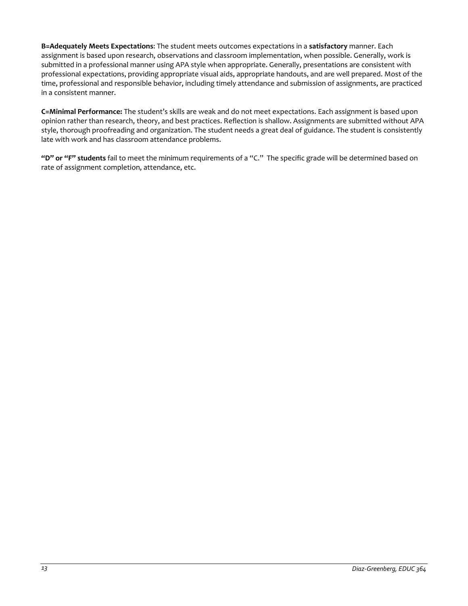**B=Adequately Meets Expectations**: The student meets outcomes expectations in a **satisfactory** manner. Each assignment is based upon research, observations and classroom implementation, when possible. Generally, work is submitted in a professional manner using APA style when appropriate. Generally, presentations are consistent with professional expectations, providing appropriate visual aids, appropriate handouts, and are well prepared. Most of the time, professional and responsible behavior, including timely attendance and submission of assignments, are practiced in a consistent manner.

**C=Minimal Performance:** The student's skills are weak and do not meet expectations. Each assignment is based upon opinion rather than research, theory, and best practices. Reflection is shallow. Assignments are submitted without APA style, thorough proofreading and organization. The student needs a great deal of guidance. The student is consistently late with work and has classroom attendance problems.

**"D" or "F" students** fail to meet the minimum requirements of a "C." The specific grade will be determined based on rate of assignment completion, attendance, etc.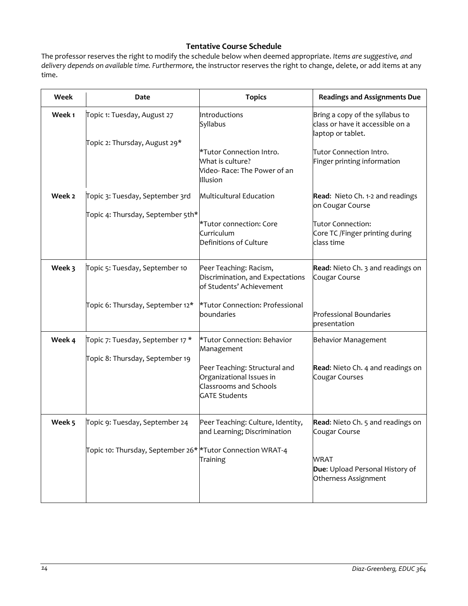# **Tentative Course Schedule**

<span id="page-13-0"></span>The professor reserves the right to modify the schedule below when deemed appropriate. *Items are suggestive, and delivery depends on available time. Furthermore,* the instructor reserves the right to change, delete, or add items at any time.

| Week   | Date                                                         | <b>Topics</b>                                                                                                      | <b>Readings and Assignments Due</b>                                                      |
|--------|--------------------------------------------------------------|--------------------------------------------------------------------------------------------------------------------|------------------------------------------------------------------------------------------|
| Week 1 | Topic 1: Tuesday, August 27<br>Topic 2: Thursday, August 29* | Introductions<br>Syllabus                                                                                          | Bring a copy of the syllabus to<br>class or have it accessible on a<br>laptop or tablet. |
|        |                                                              | *Tutor Connection Intro.<br>What is culture?<br>Video- Race: The Power of an<br>Illusion                           | Tutor Connection Intro.<br>Finger printing information                                   |
| Week 2 | Topic 3: Tuesday, September 3rd                              | Multicultural Education                                                                                            | Read: Nieto Ch. 1-2 and readings<br>on Cougar Course                                     |
|        | Topic 4: Thursday, September 5th*                            | *Tutor connection: Core<br>Curriculum<br>Definitions of Culture                                                    | Tutor Connection:<br>Core TC /Finger printing during<br>class time                       |
| Week 3 | Topic 5: Tuesday, September 10                               | Peer Teaching: Racism,<br>Discrimination, and Expectations<br>of Students' Achievement                             | Read: Nieto Ch. 3 and readings on<br>Cougar Course                                       |
|        | Topic 6: Thursday, September 12*                             | *Tutor Connection: Professional<br>boundaries                                                                      | <b>Professional Boundaries</b><br>presentation                                           |
| Week 4 | Topic 7: Tuesday, September 17 *                             | *Tutor Connection: Behavior<br>Management                                                                          | <b>Behavior Management</b>                                                               |
|        | Topic 8: Thursday, September 19                              | Peer Teaching: Structural and<br>Organizational Issues in<br><b>Classrooms and Schools</b><br><b>GATE Students</b> | Read: Nieto Ch. 4 and readings on<br>Cougar Courses                                      |
| Week 5 | Topic 9: Tuesday, September 24                               | Peer Teaching: Culture, Identity,<br>and Learning; Discrimination                                                  | Read: Nieto Ch. 5 and readings on<br>Cougar Course                                       |
|        | Topic 10: Thursday, September 26* *Tutor Connection WRAT-4   | Training                                                                                                           | WRAT<br>Due: Upload Personal History of<br>Otherness Assignment                          |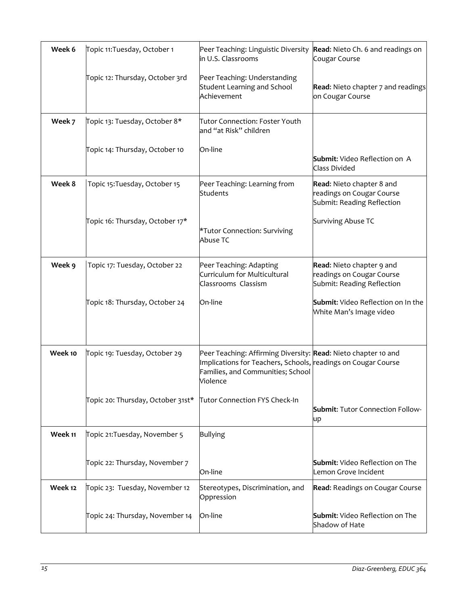| Week 6  | Topic 11: Tuesday, October 1      | Peer Teaching: Linguistic Diversity<br>in U.S. Classrooms                                                                                                                        | Read: Nieto Ch. 6 and readings on<br>Cougar Course                                   |
|---------|-----------------------------------|----------------------------------------------------------------------------------------------------------------------------------------------------------------------------------|--------------------------------------------------------------------------------------|
|         | Topic 12: Thursday, October 3rd   | Peer Teaching: Understanding<br><b>Student Learning and School</b><br>Achievement                                                                                                | Read: Nieto chapter 7 and readings<br>on Cougar Course                               |
| Week 7  | Topic 13: Tuesday, October 8*     | Tutor Connection: Foster Youth<br>and "at Risk" children                                                                                                                         |                                                                                      |
|         | Topic 14: Thursday, October 10    | On-line                                                                                                                                                                          | Submit: Video Reflection on A<br>Class Divided                                       |
| Week 8  | Topic 15: Tuesday, October 15     | Peer Teaching: Learning from<br>Students                                                                                                                                         | Read: Nieto chapter 8 and<br>readings on Cougar Course<br>Submit: Reading Reflection |
|         | Topic 16: Thursday, October 17*   | *Tutor Connection: Surviving<br>Abuse TC                                                                                                                                         | Surviving Abuse TC                                                                   |
| Week 9  | Topic 17: Tuesday, October 22     | Peer Teaching: Adapting<br>Curriculum for Multicultural<br>Classrooms Classism                                                                                                   | Read: Nieto chapter 9 and<br>readings on Cougar Course<br>Submit: Reading Reflection |
|         | Topic 18: Thursday, October 24    | On-line                                                                                                                                                                          | <b>Submit:</b> Video Reflection on In the<br>White Man's Image video                 |
| Week 10 | Topic 19: Tuesday, October 29     | Peer Teaching: Affirming Diversity: Read: Nieto chapter 10 and<br>Implications for Teachers, Schools, readings on Cougar Course<br>Families, and Communities; School<br>Violence |                                                                                      |
|         | Topic 20: Thursday, October 31st* | Tutor Connection FYS Check-In                                                                                                                                                    | <b>Submit: Tutor Connection Follow-</b><br>up                                        |
| Week 11 | Topic 21: Tuesday, November 5     | <b>Bullying</b>                                                                                                                                                                  |                                                                                      |
|         | Topic 22: Thursday, November 7    | On-line                                                                                                                                                                          | <b>Submit:</b> Video Reflection on The<br>Lemon Grove Incident                       |
| Week 12 | Topic 23: Tuesday, November 12    | Stereotypes, Discrimination, and<br>Oppression                                                                                                                                   | Read: Readings on Cougar Course                                                      |
|         | Topic 24: Thursday, November 14   | On-line                                                                                                                                                                          | <b>Submit:</b> Video Reflection on The<br>Shadow of Hate                             |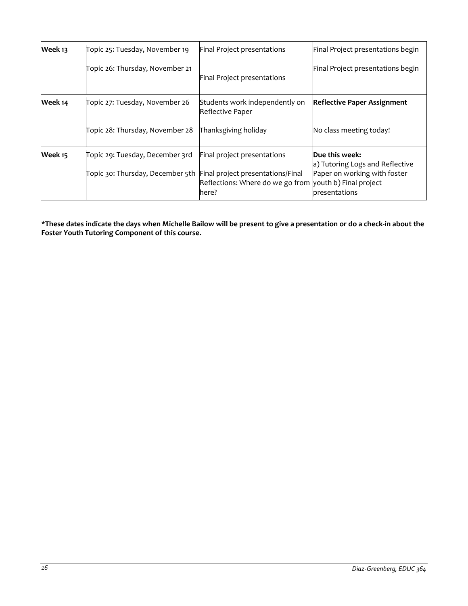| Week 13 | Topic 25: Tuesday, November 19                                     | Final Project presentations                                      | Final Project presentations begin                 |
|---------|--------------------------------------------------------------------|------------------------------------------------------------------|---------------------------------------------------|
|         | Topic 26: Thursday, November 21                                    | Final Project presentations                                      | Final Project presentations begin                 |
| Week 14 | Topic 27: Tuesday, November 26                                     | Students work independently on<br>Reflective Paper               | <b>Reflective Paper Assignment</b>                |
|         | Topic 28: Thursday, November 28                                    | Thanksgiving holiday                                             | No class meeting today!                           |
| Week 15 | Topic 29: Tuesday, December 3rd                                    | Final project presentations                                      | Due this week:<br>a) Tutoring Logs and Reflective |
|         | Topic 30: Thursday, December 5th Final project presentations/Final | Reflections: Where do we go from youth b) Final project<br>here? | Paper on working with foster<br>presentations     |

**\*These dates indicate the days when Michelle Bailow will be present to give a presentation or do a check-in about the Foster Youth Tutoring Component of this course.**

 $\overline{\phantom{a}}$